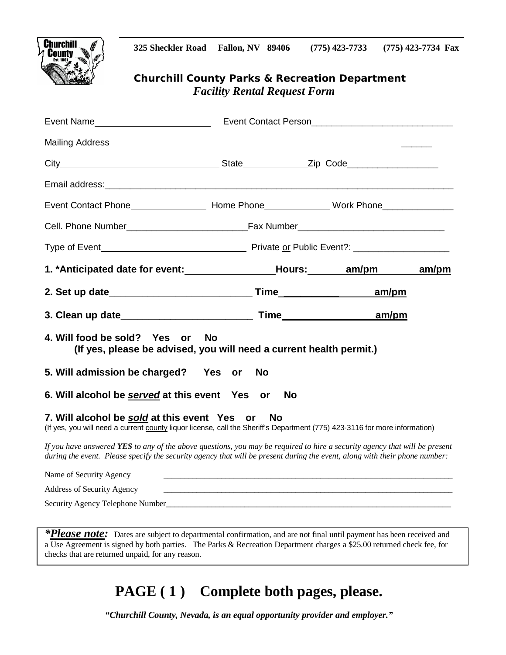



### *Churchill County Parks & Recreation Department Facility Rental Request Form*

| Event Contact Phone__________________________Home Phone_______________Work Phone___________________    |  |  |  |  |
|--------------------------------------------------------------------------------------------------------|--|--|--|--|
|                                                                                                        |  |  |  |  |
|                                                                                                        |  |  |  |  |
| 1. *Anticipated date for event: _________________________________Hours: ________ am/pm _______ am/pm   |  |  |  |  |
|                                                                                                        |  |  |  |  |
|                                                                                                        |  |  |  |  |
|                                                                                                        |  |  |  |  |
| 4. Will food be sold? Yes or No<br>(If yes, please be advised, you will need a current health permit.) |  |  |  |  |
| 5. Will admission be charged? Yes or No                                                                |  |  |  |  |
| 6. Will alcohol be served at this event Yes or No                                                      |  |  |  |  |

*If you have answered YES to any of the above questions, you may be required to hire a security agency that will be present during the event. Please specify the security agency that will be present during the event, along with their phone number:* 

| Name of Security Agency          |  |
|----------------------------------|--|
| Address of Security Agency       |  |
| Security Agency Telephone Number |  |

*\*Please note:* Dates are subject to departmental confirmation, and are not final until payment has been received and a Use Agreement is signed by both parties. The Parks & Recreation Department charges a \$25.00 returned check fee, for checks that are returned unpaid, for any reason.

# **PAGE ( 1 ) Complete both pages, please.**

*"Churchill County, Nevada, is an equal opportunity provider and employer."*